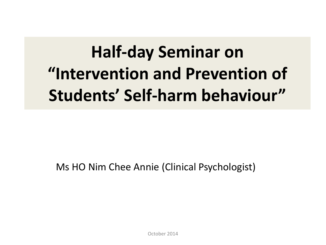## **Half-day Seminar on "Intervention and Prevention of Students' Self-harm behaviour"**

Ms HO Nim Chee Annie (Clinical Psychologist)

October 2014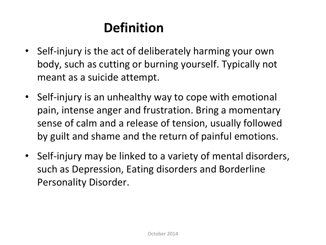### **Definition**

- Self-injury is the act of deliberately harming your own body, such as cutting or burning yourself. Typically not meant as a suicide attempt.
- Self-injury is an unhealthy way to cope with emotional pain, intense anger and frustration. Bring a momentary sense of calm and a release of tension, usually followed by guilt and shame and the return of painful emotions.
- Self-injury may be linked to a variety of mental disorders, such as Depression, Eating disorders and Borderline Personality Disorder.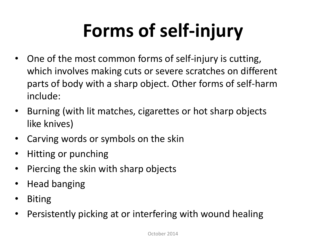# **Forms of self-injury**

- One of the most common forms of self-injury is cutting, which involves making cuts or severe scratches on different parts of body with a sharp object. Other forms of self-harm include:
- Burning (with lit matches, cigarettes or hot sharp objects like knives)
- Carving words or symbols on the skin
- Hitting or punching
- Piercing the skin with sharp objects
- Head banging
- Biting
- Persistently picking at or interfering with wound healing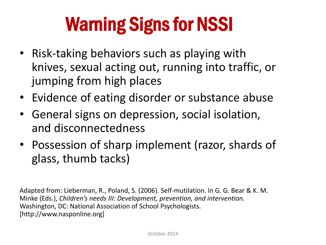# Warning Signs for NSSI

- Risk-taking behaviors such as playing with knives, sexual acting out, running into traffic, or jumping from high places
- Evidence of eating disorder or substance abuse
- General signs on depression, social isolation, and disconnectedness
- Possession of sharp implement (razor, shards of glass, thumb tacks)

Adapted from: Lieberman, R., Poland, S. (2006). Self-mutilation. In G. G. Bear & K. M. Minke (Eds.), *Children's needs III: Development, prevention, and intervention.*  Washington, DC: National Association of School Psychologists. [http://www.nasponline.org]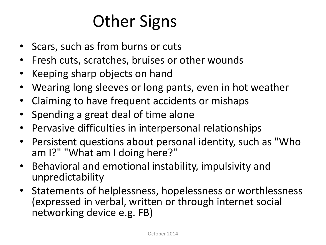### Other Signs

- Scars, such as from burns or cuts
- Fresh cuts, scratches, bruises or other wounds
- Keeping sharp objects on hand
- Wearing long sleeves or long pants, even in hot weather
- Claiming to have frequent accidents or mishaps
- Spending a great deal of time alone
- Pervasive difficulties in interpersonal relationships
- Persistent questions about personal identity, such as "Who am I?" "What am I doing here?"
- Behavioral and emotional instability, impulsivity and unpredictability
- Statements of helplessness, hopelessness or worthlessness (expressed in verbal, written or through internet social networking device e.g. FB)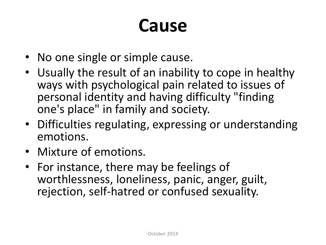### **Cause**

- No one single or simple cause.
- Usually the result of an inability to cope in healthy ways with psychological pain related to issues of personal identity and having difficulty "finding one's place" in family and society.
- Difficulties regulating, expressing or understanding emotions.
- Mixture of emotions.
- For instance, there may be feelings of worthlessness, loneliness, panic, anger, guilt, rejection, self-hatred or confused sexuality.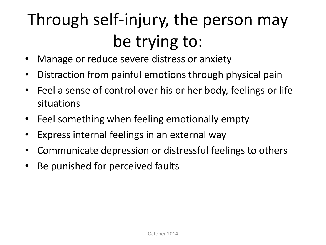## Through self-injury, the person may be trying to:

- Manage or reduce severe distress or anxiety
- Distraction from painful emotions through physical pain
- Feel a sense of control over his or her body, feelings or life situations
- Feel something when feeling emotionally empty
- Express internal feelings in an external way
- Communicate depression or distressful feelings to others
- Be punished for perceived faults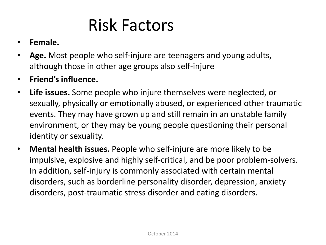### Risk Factors

#### • **Female.**

- **Age.** Most people who self-injure are teenagers and young adults, although those in other age groups also self-injure
- **Friend's influence.**
- **Life issues.** Some people who injure themselves were neglected, or sexually, physically or emotionally abused, or experienced other traumatic events. They may have grown up and still remain in an unstable family environment, or they may be young people questioning their personal identity or sexuality.
- **Mental health issues.** People who self-injure are more likely to be impulsive, explosive and highly self-critical, and be poor problem-solvers. In addition, self-injury is commonly associated with certain mental disorders, such as borderline personality disorder, depression, anxiety disorders, post-traumatic stress disorder and eating disorders.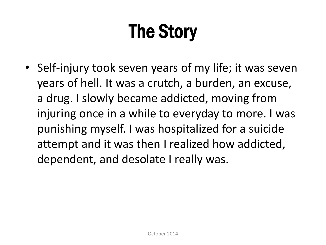# The Story

• Self-injury took seven years of my life; it was seven years of hell. It was a crutch, a burden, an excuse, a drug. I slowly became addicted, moving from injuring once in a while to everyday to more. I was punishing myself. I was hospitalized for a suicide attempt and it was then I realized how addicted, dependent, and desolate I really was.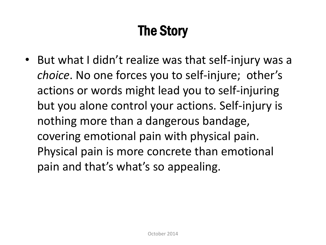### The Story

• But what I didn't realize was that self-injury was a *choice*. No one forces you to self-injure; other's actions or words might lead you to self-injuring but you alone control your actions. Self-injury is nothing more than a dangerous bandage, covering emotional pain with physical pain. Physical pain is more concrete than emotional pain and that's what's so appealing.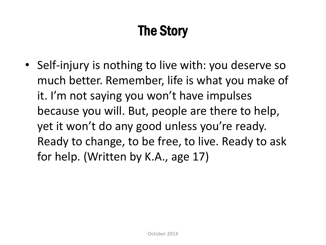### The Story

• Self-injury is nothing to live with: you deserve so much better. Remember, life is what you make of it. I'm not saying you won't have impulses because you will. But, people are there to help, yet it won't do any good unless you're ready. Ready to change, to be free, to live. Ready to ask for help. (Written by K.A., age 17)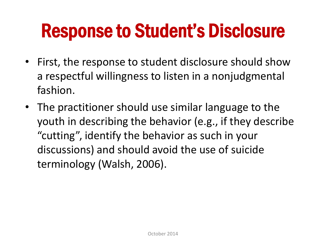## Response to Student's Disclosure

- First, the response to student disclosure should show a respectful willingness to listen in a nonjudgmental fashion.
- The practitioner should use similar language to the youth in describing the behavior (e.g., if they describe "cutting", identify the behavior as such in your discussions) and should avoid the use of suicide terminology (Walsh, 2006).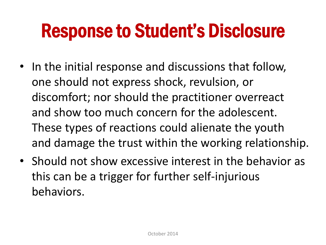## Response to Student's Disclosure

- In the initial response and discussions that follow, one should not express shock, revulsion, or discomfort; nor should the practitioner overreact and show too much concern for the adolescent. These types of reactions could alienate the youth and damage the trust within the working relationship.
- Should not show excessive interest in the behavior as this can be a trigger for further self-injurious behaviors.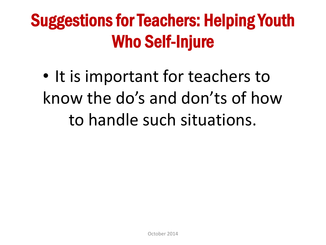### Suggestions for Teachers: Helping Youth Who Self-Injure

• It is important for teachers to know the do's and don'ts of how to handle such situations.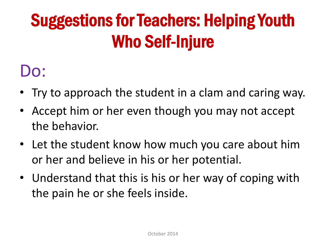## Suggestions for Teachers: Helping Youth Who Self-Injure

### Do:

- Try to approach the student in a clam and caring way.
- Accept him or her even though you may not accept the behavior.
- Let the student know how much you care about him or her and believe in his or her potential.
- Understand that this is his or her way of coping with the pain he or she feels inside.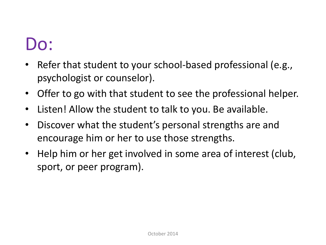### Do:

- Refer that student to your school-based professional (e.g., psychologist or counselor).
- Offer to go with that student to see the professional helper.
- Listen! Allow the student to talk to you. Be available.
- Discover what the student's personal strengths are and encourage him or her to use those strengths.
- Help him or her get involved in some area of interest (club, sport, or peer program).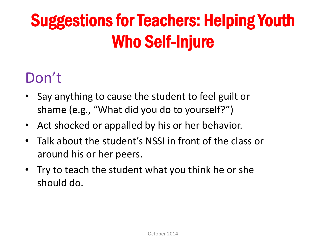## Suggestions for Teachers: Helping Youth Who Self-Injure

### Don't

- Say anything to cause the student to feel guilt or shame (e.g., "What did you do to yourself?")
- Act shocked or appalled by his or her behavior.
- Talk about the student's NSSI in front of the class or around his or her peers.
- Try to teach the student what you think he or she should do.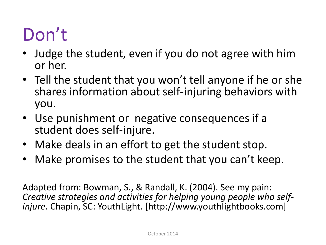## Don't

- Judge the student, even if you do not agree with him or her.
- Tell the student that you won't tell anyone if he or she shares information about self-injuring behaviors with you.
- Use punishment or negative consequences if a student does self-injure.
- Make deals in an effort to get the student stop.
- Make promises to the student that you can't keep.

Adapted from: Bowman, S., & Randall, K. (2004). See my pain: *Creative strategies and activities for helping young people who selfinjure.* Chapin, SC: YouthLight. [http://www.youthlightbooks.com]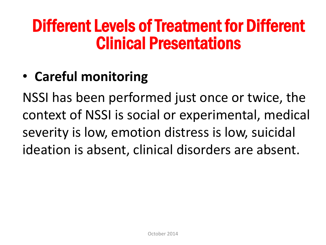### Different Levels of Treatment for Different Clinical Presentations

### • **Careful monitoring**

NSSI has been performed just once or twice, the context of NSSI is social or experimental, medical severity is low, emotion distress is low, suicidal ideation is absent, clinical disorders are absent.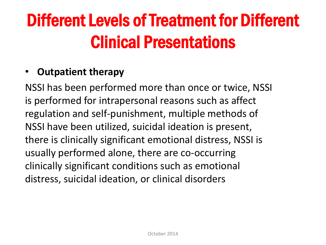## Different Levels of Treatment for Different Clinical Presentations

#### • **Outpatient therapy**

NSSI has been performed more than once or twice, NSSI is performed for intrapersonal reasons such as affect regulation and self-punishment, multiple methods of NSSI have been utilized, suicidal ideation is present, there is clinically significant emotional distress, NSSI is usually performed alone, there are co-occurring clinically significant conditions such as emotional distress, suicidal ideation, or clinical disorders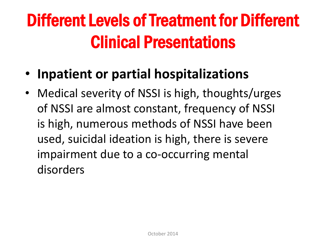## Different Levels of Treatment for Different Clinical Presentations

- **Inpatient or partial hospitalizations**
- Medical severity of NSSI is high, thoughts/urges of NSSI are almost constant, frequency of NSSI is high, numerous methods of NSSI have been used, suicidal ideation is high, there is severe impairment due to a co-occurring mental disorders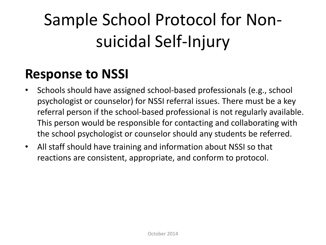## Sample School Protocol for Nonsuicidal Self-Injury

### **Response to NSSI**

- Schools should have assigned school-based professionals (e.g., school psychologist or counselor) for NSSI referral issues. There must be a key referral person if the school-based professional is not regularly available. This person would be responsible for contacting and collaborating with the school psychologist or counselor should any students be referred.
- All staff should have training and information about NSSI so that reactions are consistent, appropriate, and conform to protocol.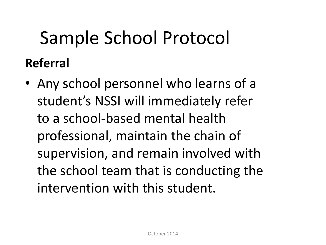## Sample School Protocol **Referral**

• Any school personnel who learns of a student's NSSI will immediately refer to a school-based mental health professional, maintain the chain of supervision, and remain involved with the school team that is conducting the intervention with this student.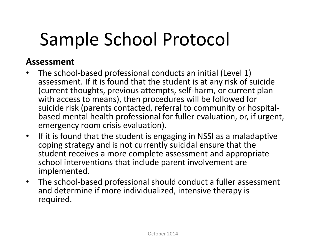## Sample School Protocol

#### **Assessment**

- The school-based professional conducts an initial (Level 1) assessment. If it is found that the student is at any risk of suicide (current thoughts, previous attempts, self-harm, or current plan with access to means), then procedures will be followed for suicide risk (parents contacted, referral to community or hospitalbased mental health professional for fuller evaluation, or, if urgent, emergency room crisis evaluation).
- If it is found that the student is engaging in NSSI as a maladaptive coping strategy and is not currently suicidal ensure that the student receives a more complete assessment and appropriate school interventions that include parent involvement are implemented.
- The school-based professional should conduct a fuller assessment and determine if more individualized, intensive therapy is required.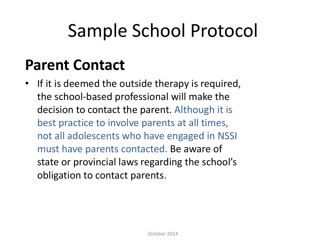## Sample School Protocol

### **Parent Contact**

• If it is deemed the outside therapy is required, the school-based professional will make the decision to contact the parent. Although it is best practice to involve parents at all times, not all adolescents who have engaged in NSSI must have parents contacted. Be aware of state or provincial laws regarding the school's obligation to contact parents.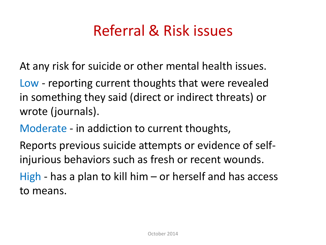### Referral & Risk issues

At any risk for suicide or other mental health issues.

Low - reporting current thoughts that were revealed in something they said (direct or indirect threats) or wrote (journals).

Moderate - in addiction to current thoughts,

Reports previous suicide attempts or evidence of selfinjurious behaviors such as fresh or recent wounds.

High - has a plan to kill him – or herself and has access to means.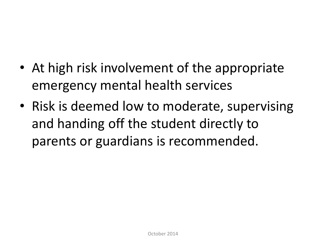- At high risk involvement of the appropriate emergency mental health services
- Risk is deemed low to moderate, supervising and handing off the student directly to parents or guardians is recommended.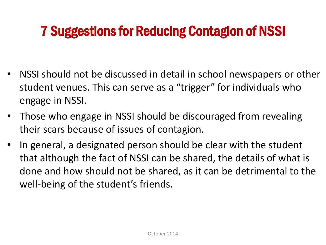### 7 Suggestions for Reducing Contagion of NSSI

- NSSI should not be discussed in detail in school newspapers or other student venues. This can serve as a "trigger" for individuals who engage in NSSI.
- Those who engage in NSSI should be discouraged from revealing their scars because of issues of contagion.
- In general, a designated person should be clear with the student that although the fact of NSSI can be shared, the details of what is done and how should not be shared, as it can be detrimental to the well-being of the student's friends.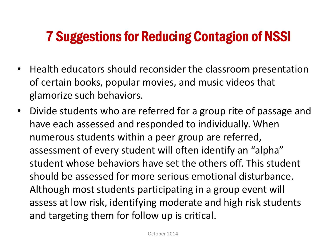### 7 Suggestions for Reducing Contagion of NSSI

- Health educators should reconsider the classroom presentation of certain books, popular movies, and music videos that glamorize such behaviors.
- Divide students who are referred for a group rite of passage and have each assessed and responded to individually. When numerous students within a peer group are referred, assessment of every student will often identify an "alpha" student whose behaviors have set the others off. This student should be assessed for more serious emotional disturbance. Although most students participating in a group event will assess at low risk, identifying moderate and high risk students and targeting them for follow up is critical.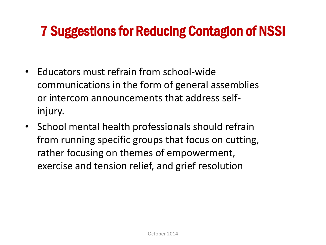### 7 Suggestions for Reducing Contagion of NSSI

- Educators must refrain from school-wide communications in the form of general assemblies or intercom announcements that address selfinjury.
- School mental health professionals should refrain from running specific groups that focus on cutting, rather focusing on themes of empowerment, exercise and tension relief, and grief resolution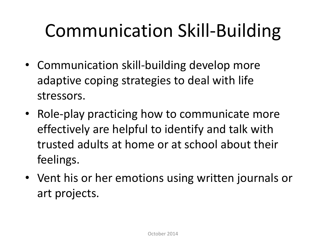# Communication Skill-Building

- Communication skill-building develop more adaptive coping strategies to deal with life stressors.
- Role-play practicing how to communicate more effectively are helpful to identify and talk with trusted adults at home or at school about their feelings.
- Vent his or her emotions using written journals or art projects.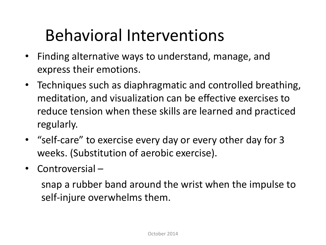### Behavioral Interventions

- Finding alternative ways to understand, manage, and express their emotions.
- Techniques such as diaphragmatic and controlled breathing, meditation, and visualization can be effective exercises to reduce tension when these skills are learned and practiced regularly.
- "self-care" to exercise every day or every other day for 3 weeks. (Substitution of aerobic exercise).
- Controversial –

snap a rubber band around the wrist when the impulse to self-injure overwhelms them.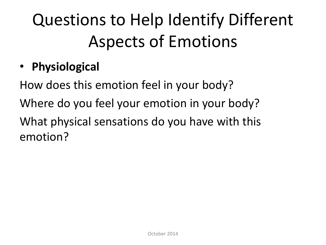## Questions to Help Identify Different Aspects of Emotions

• **Physiological** 

How does this emotion feel in your body? Where do you feel your emotion in your body? What physical sensations do you have with this emotion?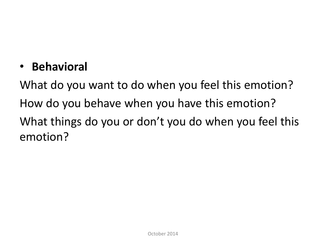#### • **Behavioral**

What do you want to do when you feel this emotion? How do you behave when you have this emotion? What things do you or don't you do when you feel this emotion?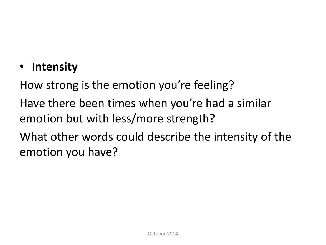### • **Intensity**

How strong is the emotion you're feeling? Have there been times when you're had a similar emotion but with less/more strength? What other words could describe the intensity of the emotion you have?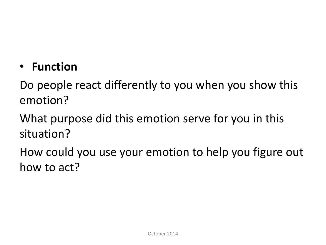• **Function**

Do people react differently to you when you show this emotion?

What purpose did this emotion serve for you in this situation?

How could you use your emotion to help you figure out how to act?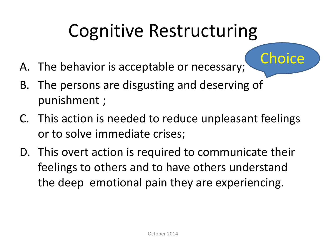## Cognitive Restructuring

**Choice** 

- A. The behavior is acceptable or necessary;
- B. The persons are disgusting and deserving of punishment ;
- C. This action is needed to reduce unpleasant feelings or to solve immediate crises;
- D. This overt action is required to communicate their feelings to others and to have others understand the deep emotional pain they are experiencing.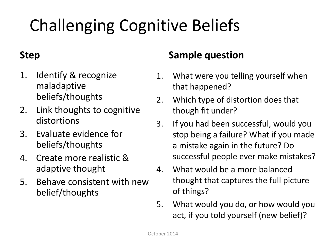## Challenging Cognitive Beliefs

#### **Step**

- 1. Identify & recognize maladaptive beliefs/thoughts
- 2. Link thoughts to cognitive distortions
- 3. Evaluate evidence for beliefs/thoughts
- 4. Create more realistic & adaptive thought
- 5. Behave consistent with new belief/thoughts

#### **Sample question**

- 1. What were you telling yourself when that happened?
- 2. Which type of distortion does that though fit under?
- 3. If you had been successful, would you stop being a failure? What if you made a mistake again in the future? Do successful people ever make mistakes?
- 4. What would be a more balanced thought that captures the full picture of things?
- 5. What would you do, or how would you act, if you told yourself (new belief)?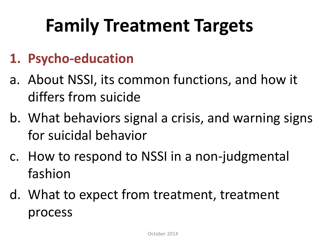# **Family Treatment Targets**

### **1. Psycho-education**

- a. About NSSI, its common functions, and how it differs from suicide
- b. What behaviors signal a crisis, and warning signs for suicidal behavior
- c. How to respond to NSSI in a non-judgmental fashion
- d. What to expect from treatment, treatment process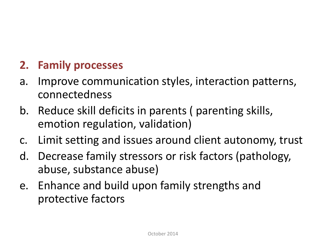### **2. Family processes**

- a. Improve communication styles, interaction patterns, connectedness
- b. Reduce skill deficits in parents ( parenting skills, emotion regulation, validation)
- c. Limit setting and issues around client autonomy, trust
- d. Decrease family stressors or risk factors (pathology, abuse, substance abuse)
- e. Enhance and build upon family strengths and protective factors